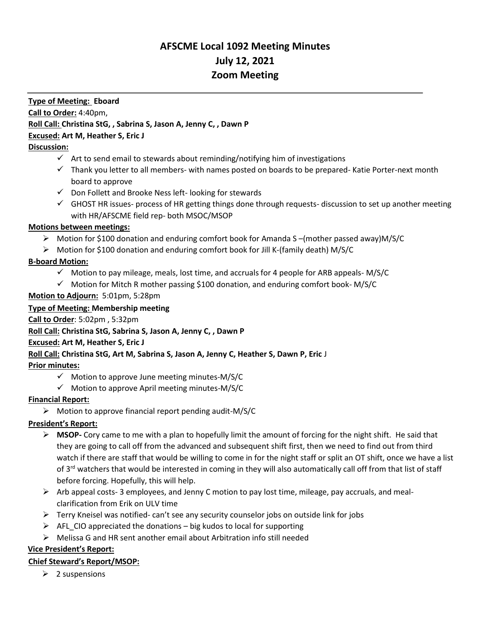# **AFSCME Local 1092 Meeting Minutes July 12, 2021 Zoom Meeting**

# **Type of Meeting: Eboard Call to Order:** 4:40pm, **Roll Call: Christina StG, , Sabrina S, Jason A, Jenny C, , Dawn P Excused: Art M, Heather S, Eric J**

### **Discussion:**

- $\checkmark$  Art to send email to stewards about reminding/notifying him of investigations
- $\checkmark$  Thank you letter to all members- with names posted on boards to be prepared- Katie Porter-next month board to approve
- $\checkmark$  Don Follett and Brooke Ness left-looking for stewards
- $\checkmark$  GHOST HR issues- process of HR getting things done through requests-discussion to set up another meeting with HR/AFSCME field rep- both MSOC/MSOP

### **Motions between meetings:**

- ➢ Motion for \$100 donation and enduring comfort book for Amanda S –(mother passed away)M/S/C
- $\triangleright$  Motion for \$100 donation and enduring comfort book for Jill K-(family death) M/S/C

# **B-board Motion:**

- $\checkmark$  Motion to pay mileage, meals, lost time, and accruals for 4 people for ARB appeals-M/S/C
- ✓ Motion for Mitch R mother passing \$100 donation, and enduring comfort book- M/S/C

# **Motion to Adjourn:** 5:01pm, 5:28pm

## **Type of Meeting: Membership meeting**

### **Call to Order**: 5:02pm , 5:32pm

### **Roll Call: Christina StG, Sabrina S, Jason A, Jenny C, , Dawn P**

### **Excused: Art M, Heather S, Eric J**

# **Roll Call: Christina StG, Art M, Sabrina S, Jason A, Jenny C, Heather S, Dawn P, Eric** J

### **Prior minutes:**

- $\checkmark$  Motion to approve June meeting minutes-M/S/C
- $\checkmark$  Motion to approve April meeting minutes-M/S/C

# **Financial Report:**

➢ Motion to approve financial report pending audit-M/S/C

# **President's Report:**

- ➢ **MSOP-** Cory came to me with a plan to hopefully limit the amount of forcing for the night shift. He said that they are going to call off from the advanced and subsequent shift first, then we need to find out from third watch if there are staff that would be willing to come in for the night staff or split an OT shift, once we have a list of 3<sup>rd</sup> watchers that would be interested in coming in they will also automatically call off from that list of staff before forcing. Hopefully, this will help.
- $\triangleright$  Arb appeal costs- 3 employees, and Jenny C motion to pay lost time, mileage, pay accruals, and mealclarification from Erik on ULV time
- $\triangleright$  Terry Kneisel was notified- can't see any security counselor jobs on outside link for jobs
- $\triangleright$  AFL CIO appreciated the donations big kudos to local for supporting
- ➢ Melissa G and HR sent another email about Arbitration info still needed

# **Vice President's Report:**

### **Chief Steward's Report/MSOP:**

 $\geq 2$  suspensions